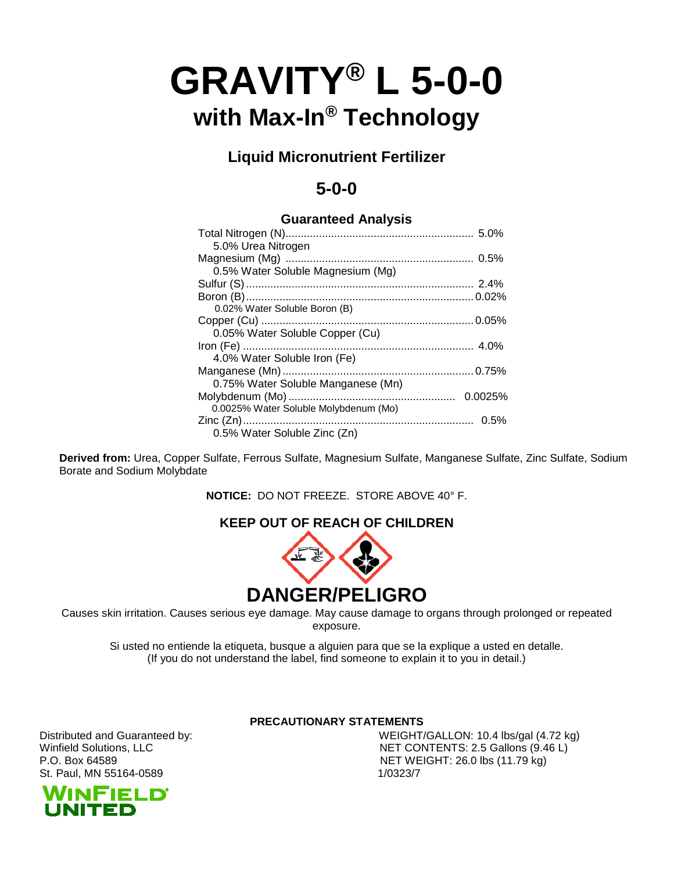# **GRAVITY® L 5-0-0 with Max-In® Technology**

**Liquid Micronutrient Fertilizer**

# **5-0-0**

### **Guaranteed Analysis**

| 5.0% Urea Nitrogen                    |         |
|---------------------------------------|---------|
|                                       |         |
| 0.5% Water Soluble Magnesium (Mg)     |         |
|                                       |         |
|                                       |         |
| 0.02% Water Soluble Boron (B)         |         |
|                                       |         |
| 0.05% Water Soluble Copper (Cu)       |         |
|                                       |         |
| 4.0% Water Soluble Iron (Fe)          |         |
|                                       |         |
| 0.75% Water Soluble Manganese (Mn)    |         |
|                                       | 0.0025% |
| 0.0025% Water Soluble Molybdenum (Mo) |         |
|                                       |         |
| 0.5% Water Soluble Zinc (Zn)          |         |

**Derived from:** Urea, Copper Sulfate, Ferrous Sulfate, Magnesium Sulfate, Manganese Sulfate, Zinc Sulfate, Sodium Borate and Sodium Molybdate

**NOTICE:** DO NOT FREEZE. STORE ABOVE 40° F.

## **KEEP OUT OF REACH OF CHILDREN**



Causes skin irritation. Causes serious eye damage. May cause damage to organs through prolonged or repeated exposure.

Si usted no entiende la etiqueta, busque a alguien para que se la explique a usted en detalle. (If you do not understand the label, find someone to explain it to you in detail.)

**PRECAUTIONARY STATEMENTS**

Distributed and Guaranteed by: WEIGHT/GALLON: 10.4 lbs/gal (4.72 kg) Winfield Solutions, LLC **NET CONTENTS: 2.5 Gallons (9.46 L)** P.O. Box 64589 **NET WEIGHT: 26.0 lbs (11.79 kg)**<br>St. Paul. MN 55164-0589 **NET WEIGHT: 26.0 lbs** (11.79 kg)

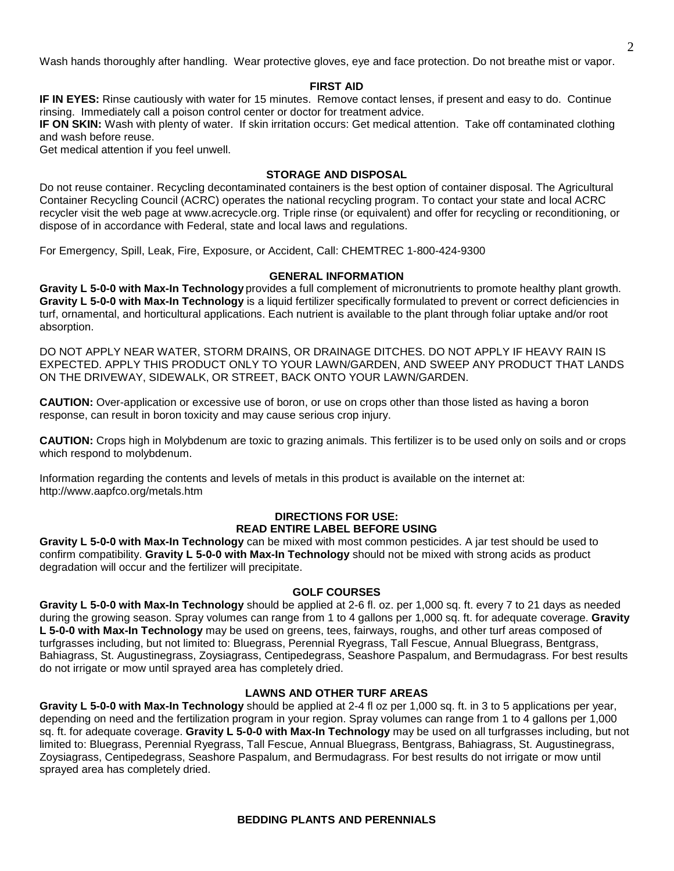Wash hands thoroughly after handling. Wear protective gloves, eye and face protection. Do not breathe mist or vapor.

#### **FIRST AID**

**IF IN EYES:** Rinse cautiously with water for 15 minutes. Remove contact lenses, if present and easy to do. Continue rinsing. Immediately call a poison control center or doctor for treatment advice.

**IF ON SKIN:** Wash with plenty of water. If skin irritation occurs: Get medical attention. Take off contaminated clothing and wash before reuse.

Get medical attention if you feel unwell.

#### **STORAGE AND DISPOSAL**

Do not reuse container. Recycling decontaminated containers is the best option of container disposal. The Agricultural Container Recycling Council (ACRC) operates the national recycling program. To contact your state and local ACRC recycler visit the web page at www.acrecycle.org. Triple rinse (or equivalent) and offer for recycling or reconditioning, or dispose of in accordance with Federal, state and local laws and regulations.

For Emergency, Spill, Leak, Fire, Exposure, or Accident, Call: CHEMTREC 1-800-424-9300

#### **GENERAL INFORMATION**

**Gravity L 5-0-0 with Max-In Technology** provides a full complement of micronutrients to promote healthy plant growth. **Gravity L 5-0-0 with Max-In Technology** is a liquid fertilizer specifically formulated to prevent or correct deficiencies in turf, ornamental, and horticultural applications. Each nutrient is available to the plant through foliar uptake and/or root absorption.

DO NOT APPLY NEAR WATER, STORM DRAINS, OR DRAINAGE DITCHES. DO NOT APPLY IF HEAVY RAIN IS EXPECTED. APPLY THIS PRODUCT ONLY TO YOUR LAWN/GARDEN, AND SWEEP ANY PRODUCT THAT LANDS ON THE DRIVEWAY, SIDEWALK, OR STREET, BACK ONTO YOUR LAWN/GARDEN.

**CAUTION:** Over-application or excessive use of boron, or use on crops other than those listed as having a boron response, can result in boron toxicity and may cause serious crop injury.

**CAUTION:** Crops high in Molybdenum are toxic to grazing animals. This fertilizer is to be used only on soils and or crops which respond to molybdenum.

Information regarding the contents and levels of metals in this product is available on the internet at: http://www.aapfco.org/metals.htm

#### **DIRECTIONS FOR USE: READ ENTIRE LABEL BEFORE USING**

**Gravity L 5-0-0 with Max-In Technology** can be mixed with most common pesticides. A jar test should be used to confirm compatibility. **Gravity L 5-0-0 with Max-In Technology** should not be mixed with strong acids as product degradation will occur and the fertilizer will precipitate.

#### **GOLF COURSES**

**Gravity L 5-0-0 with Max-In Technology** should be applied at 2-6 fl. oz. per 1,000 sq. ft. every 7 to 21 days as needed during the growing season. Spray volumes can range from 1 to 4 gallons per 1,000 sq. ft. for adequate coverage. **Gravity L 5-0-0 with Max-In Technology** may be used on greens, tees, fairways, roughs, and other turf areas composed of turfgrasses including, but not limited to: Bluegrass, Perennial Ryegrass, Tall Fescue, Annual Bluegrass, Bentgrass, Bahiagrass, St. Augustinegrass, Zoysiagrass, Centipedegrass, Seashore Paspalum, and Bermudagrass. For best results do not irrigate or mow until sprayed area has completely dried.

#### **LAWNS AND OTHER TURF AREAS**

**Gravity L 5-0-0 with Max-In Technology** should be applied at 2-4 fl oz per 1,000 sq. ft. in 3 to 5 applications per year, depending on need and the fertilization program in your region. Spray volumes can range from 1 to 4 gallons per 1,000 sq. ft. for adequate coverage. **Gravity L 5-0-0 with Max-In Technology** may be used on all turfgrasses including, but not limited to: Bluegrass, Perennial Ryegrass, Tall Fescue, Annual Bluegrass, Bentgrass, Bahiagrass, St. Augustinegrass, Zoysiagrass, Centipedegrass, Seashore Paspalum, and Bermudagrass. For best results do not irrigate or mow until sprayed area has completely dried.